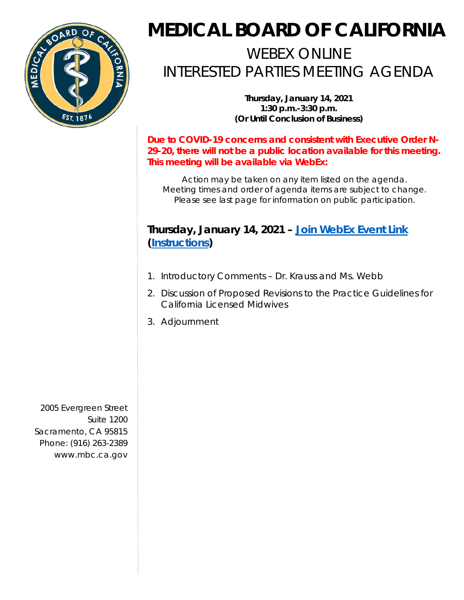

## **MEDICAL BOARD OF CALIFORNIA**

## WEBEX ONLINE INTERESTED PARTIES MEETING AGENDA

**Thursday, January 14, 2021 1:30 p.m.-3:30 p.m. (Or Until Conclusion of Business)** 

**Due to COVID-19 concerns and consistent with Executive Order N-29-20, there will not be a public location available for this meeting. This meeting will be available via WebEx:** 

*Action may be taken on any item listed on the agenda. Meeting times and order of agenda items are subject to change. Please see last page for information on public participation.* 

## **Thursday, January 14, 2021** *–* **[Join WebEx Event Link](https://dca-meetings.webex.com/dca-meetings/onstage/g.php?MTID=e6c1aaeca1151a1c4e79ee49f3ff90c3e)**  *(***[Instructions](https://www.mbc.ca.gov/Download/User-Guides/HowToJoinAWebExEvent.pdf)***)*

- 1. Introductory Comments Dr. Krauss and Ms. Webb
- 2. Discussion of Proposed Revisions to the Practice Guidelines for California Licensed Midwives
- 3. Adjournment

 Sacramento, CA 95815 2005 Evergreen Street Suite 1200 Phone: (916) 263-2389 <www.mbc.ca.gov>